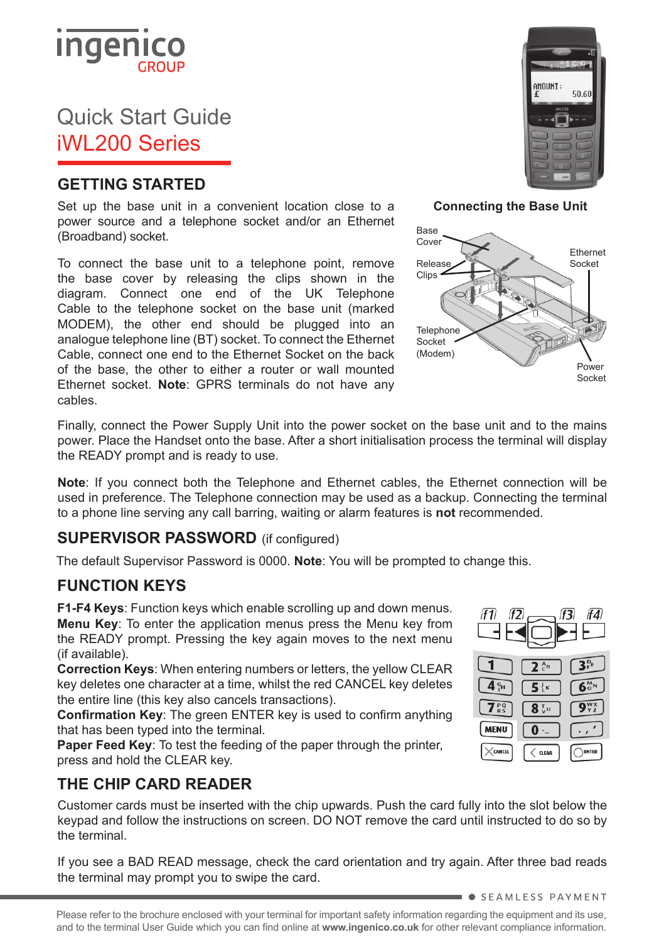

# Quick Start Guide iWL200 Series

### **GETTING STARTED**

Set up the base unit in a convenient location close to a power source and a telephone socket and/or an Ethernet (Broadband) socket.

To connect the base unit to a telephone point, remove the base cover by releasing the clips shown in the diagram. Connect one end of the UK Telephone Cable to the telephone socket on the base unit (marked MODEM), the other end should be plugged into an analogue telephone line (BT) socket. To connect the Ethernet Cable, connect one end to the Ethernet Socket on the back of the base, the other to either a router or wall mounted Ethernet socket. **Note**: GPRS terminals do not have any cables.



**Connecting the Base Unit**



Finally, connect the Power Supply Unit into the power socket on the base unit and to the mains power. Place the Handset onto the base. After a short initialisation process the terminal will display the READY prompt and is ready to use.

**Note**: If you connect both the Telephone and Ethernet cables, the Ethernet connection will be used in preference. The Telephone connection may be used as a backup. Connecting the terminal to a phone line serving any call barring, waiting or alarm features is **not** recommended.

#### **SUPERVISOR PASSWORD** (if configured)

The default Supervisor Password is 0000. **Note**: You will be prompted to change this.

#### **FUNCTION KEYS**

**F1-F4 Keys**: Function keys which enable scrolling up and down menus. **Menu Key**: To enter the application menus press the Menu key from the READY prompt. Pressing the key again moves to the next menu (if available).

**Correction Keys**: When entering numbers or letters, the yellow CLEAR key deletes one character at a time, whilst the red CANCEL key deletes the entire line (this key also cancels transactions).

**Confirmation Key**: The green ENTER key is used to confirm anything that has been typed into the terminal.

**Paper Feed Key**: To test the feeding of the paper through the printer, press and hold the CLEAR key.

### **THE CHIP CARD READER**

Customer cards must be inserted with the chip upwards. Push the card fully into the slot below the keypad and follow the instructions on screen. DO NOT remove the card until instructed to do so by the terminal.

If you see a BAD READ message, check the card orientation and try again. After three bad reads the terminal may prompt you to swipe the card.



**SEAMLESS PAYMENT**